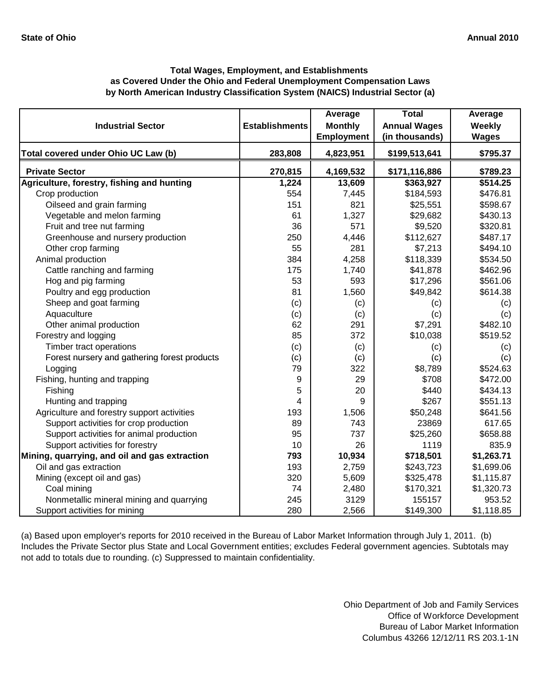# **by North American Industry Classification System (NAICS) Industrial Sector (a) Total Wages, Employment, and Establishments as Covered Under the Ohio and Federal Unemployment Compensation Laws**

| <b>Industrial Sector</b>                      | <b>Establishments</b> | Average<br><b>Monthly</b> | <b>Total</b><br><b>Annual Wages</b> | Average<br>Weekly |
|-----------------------------------------------|-----------------------|---------------------------|-------------------------------------|-------------------|
|                                               |                       | <b>Employment</b>         | (in thousands)                      | <b>Wages</b>      |
| Total covered under Ohio UC Law (b)           | 283,808               | 4,823,951                 | \$199,513,641                       | \$795.37          |
| <b>Private Sector</b>                         | 270,815               | 4,169,532                 | \$171,116,886                       | \$789.23          |
| Agriculture, forestry, fishing and hunting    | 1,224                 | 13,609                    | \$363,927                           | \$514.25          |
| Crop production                               | 554                   | 7,445                     | \$184,593                           | \$476.81          |
| Oilseed and grain farming                     | 151                   | 821                       | \$25,551                            | \$598.67          |
| Vegetable and melon farming                   | 61                    | 1,327                     | \$29,682                            | \$430.13          |
| Fruit and tree nut farming                    | 36                    | 571                       | \$9,520                             | \$320.81          |
| Greenhouse and nursery production             | 250                   | 4,446                     | \$112,627                           | \$487.17          |
| Other crop farming                            | 55                    | 281                       | \$7,213                             | \$494.10          |
| Animal production                             | 384                   | 4,258                     | \$118,339                           | \$534.50          |
| Cattle ranching and farming                   | 175                   | 1,740                     | \$41,878                            | \$462.96          |
| Hog and pig farming                           | 53                    | 593                       | \$17,296                            | \$561.06          |
| Poultry and egg production                    | 81                    | 1,560                     | \$49,842                            | \$614.38          |
| Sheep and goat farming                        | (c)                   | (c)                       | (c)                                 | (c)               |
| Aquaculture                                   | (c)                   | (c)                       | (c)                                 | (c)               |
| Other animal production                       | 62                    | 291                       | \$7,291                             | \$482.10          |
| Forestry and logging                          | 85                    | 372                       | \$10,038                            | \$519.52          |
| Timber tract operations                       | (c)                   | (c)                       | (c)                                 | (c)               |
| Forest nursery and gathering forest products  | (c)                   | (c)                       | (c)                                 | (c)               |
| Logging                                       | 79                    | 322                       | \$8,789                             | \$524.63          |
| Fishing, hunting and trapping                 | 9                     | 29                        | \$708                               | \$472.00          |
| Fishing                                       | 5                     | 20                        | \$440                               | \$434.13          |
| Hunting and trapping                          | 4                     | 9                         | \$267                               | \$551.13          |
| Agriculture and forestry support activities   | 193                   | 1,506                     | \$50,248                            | \$641.56          |
| Support activities for crop production        | 89                    | 743                       | 23869                               | 617.65            |
| Support activities for animal production      | 95                    | 737                       | \$25,260                            | \$658.88          |
| Support activities for forestry               | 10                    | 26                        | 1119                                | 835.9             |
| Mining, quarrying, and oil and gas extraction | 793                   | 10,934                    | \$718,501                           | \$1,263.71        |
| Oil and gas extraction                        | 193                   | 2,759                     | \$243,723                           | \$1,699.06        |
| Mining (except oil and gas)                   | 320                   | 5,609                     | \$325,478                           | \$1,115.87        |
| Coal mining                                   | 74                    | 2,480                     | \$170,321                           | \$1,320.73        |
| Nonmetallic mineral mining and quarrying      | 245                   | 3129                      | 155157                              | 953.52            |
| Support activities for mining                 | 280                   | 2,566                     | \$149,300                           | \$1,118.85        |

(a) Based upon employer's reports for 2010 received in the Bureau of Labor Market Information through July 1, 2011. (b) Includes the Private Sector plus State and Local Government entities; excludes Federal government agencies. Subtotals may not add to totals due to rounding. (c) Suppressed to maintain confidentiality.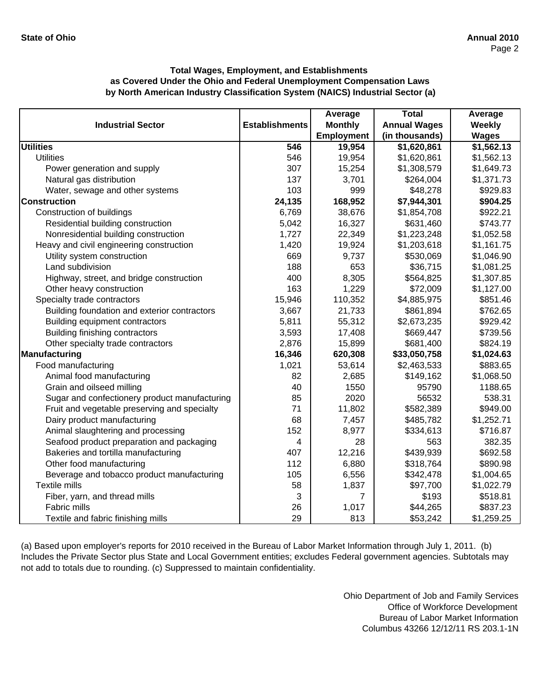|                                               |                       | Average           | <b>Total</b>        | Average               |
|-----------------------------------------------|-----------------------|-------------------|---------------------|-----------------------|
| <b>Industrial Sector</b>                      | <b>Establishments</b> | <b>Monthly</b>    | <b>Annual Wages</b> | <b>Weekly</b>         |
|                                               |                       | <b>Employment</b> | (in thousands)      | <b>Wages</b>          |
| <b>Utilities</b>                              | 546                   | 19,954            | \$1,620,861         | $\overline{1,562.13}$ |
| <b>Utilities</b>                              | 546                   | 19,954            | \$1,620,861         | \$1,562.13            |
| Power generation and supply                   | 307                   | 15,254            | \$1,308,579         | \$1,649.73            |
| Natural gas distribution                      | 137                   | 3,701             | \$264,004           | \$1,371.73            |
| Water, sewage and other systems               | 103                   | 999               | \$48,278            | \$929.83              |
| <b>Construction</b>                           | 24,135                | 168,952           | \$7,944,301         | \$904.25              |
| Construction of buildings                     | 6,769                 | 38,676            | \$1,854,708         | \$922.21              |
| Residential building construction             | 5,042                 | 16,327            | \$631,460           | \$743.77              |
| Nonresidential building construction          | 1,727                 | 22,349            | \$1,223,248         | \$1,052.58            |
| Heavy and civil engineering construction      | 1,420                 | 19,924            | \$1,203,618         | \$1,161.75            |
| Utility system construction                   | 669                   | 9,737             | \$530,069           | \$1,046.90            |
| Land subdivision                              | 188                   | 653               | \$36,715            | \$1,081.25            |
| Highway, street, and bridge construction      | 400                   | 8,305             | \$564,825           | \$1,307.85            |
| Other heavy construction                      | 163                   | 1,229             | \$72,009            | \$1,127.00            |
| Specialty trade contractors                   | 15,946                | 110,352           | \$4,885,975         | \$851.46              |
| Building foundation and exterior contractors  | 3,667                 | 21,733            | \$861,894           | \$762.65              |
| Building equipment contractors                | 5,811                 | 55,312            | \$2,673,235         | \$929.42              |
| Building finishing contractors                | 3,593                 | 17,408            | \$669,447           | \$739.56              |
| Other specialty trade contractors             | 2,876                 | 15,899            | \$681,400           | \$824.19              |
| Manufacturing                                 | 16,346                | 620,308           | \$33,050,758        | \$1,024.63            |
| Food manufacturing                            | 1,021                 | 53,614            | \$2,463,533         | \$883.65              |
| Animal food manufacturing                     | 82                    | 2,685             | \$149,162           | \$1,068.50            |
| Grain and oilseed milling                     | 40                    | 1550              | 95790               | 1188.65               |
| Sugar and confectionery product manufacturing | 85                    | 2020              | 56532               | 538.31                |
| Fruit and vegetable preserving and specialty  | 71                    | 11,802            | \$582,389           | \$949.00              |
| Dairy product manufacturing                   | 68                    | 7,457             | \$485,782           | \$1,252.71            |
| Animal slaughtering and processing            | 152                   | 8,977             | \$334,613           | \$716.87              |
| Seafood product preparation and packaging     | $\overline{4}$        | 28                | 563                 | 382.35                |
| Bakeries and tortilla manufacturing           | 407                   | 12,216            | \$439,939           | \$692.58              |
| Other food manufacturing                      | 112                   | 6,880             | \$318,764           | \$890.98              |
| Beverage and tobacco product manufacturing    | 105                   | 6,556             | \$342,478           | \$1,004.65            |
| Textile mills                                 | 58                    | 1,837             | \$97,700            | \$1,022.79            |
| Fiber, yarn, and thread mills                 | 3                     | 7                 | \$193               | \$518.81              |
| Fabric mills                                  | 26                    | 1,017             | \$44,265            | \$837.23              |
| Textile and fabric finishing mills            | 29                    | 813               | \$53,242            | \$1,259.25            |

(a) Based upon employer's reports for 2010 received in the Bureau of Labor Market Information through July 1, 2011. (b) Includes the Private Sector plus State and Local Government entities; excludes Federal government agencies. Subtotals may not add to totals due to rounding. (c) Suppressed to maintain confidentiality.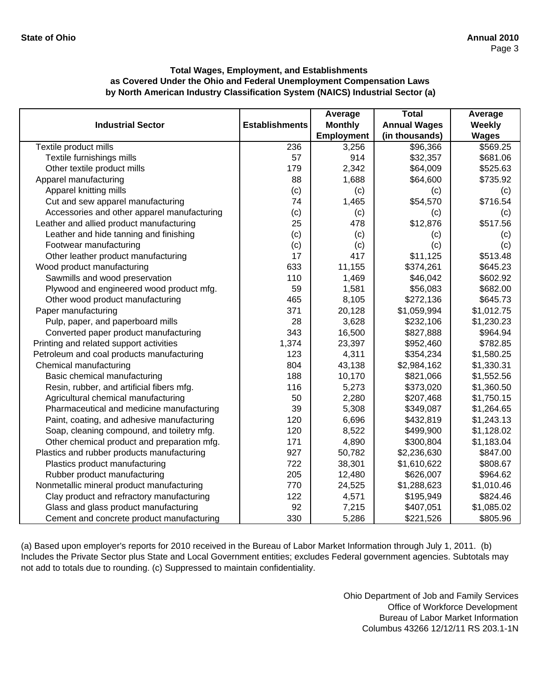|                                             |                       | Average           | <b>Total</b>        | Average      |
|---------------------------------------------|-----------------------|-------------------|---------------------|--------------|
| <b>Industrial Sector</b>                    | <b>Establishments</b> | <b>Monthly</b>    | <b>Annual Wages</b> | Weekly       |
|                                             |                       | <b>Employment</b> | (in thousands)      | <b>Wages</b> |
| Textile product mills                       | 236                   | 3,256             | \$96,366            | \$569.25     |
| Textile furnishings mills                   | 57                    | 914               | \$32,357            | \$681.06     |
| Other textile product mills                 | 179                   | 2,342             | \$64,009            | \$525.63     |
| Apparel manufacturing                       | 88                    | 1,688             | \$64,600            | \$735.92     |
| Apparel knitting mills                      | (c)                   | (c)               | (c)                 | (c)          |
| Cut and sew apparel manufacturing           | 74                    | 1,465             | \$54,570            | \$716.54     |
| Accessories and other apparel manufacturing | (c)                   | (c)               | (c)                 | (c)          |
| Leather and allied product manufacturing    | 25                    | 478               | \$12,876            | \$517.56     |
| Leather and hide tanning and finishing      | (c)                   | (c)               | (c)                 | (c)          |
| Footwear manufacturing                      | (c)                   | (c)               | (c)                 | (c)          |
| Other leather product manufacturing         | 17                    | 417               | \$11,125            | \$513.48     |
| Wood product manufacturing                  | 633                   | 11,155            | \$374,261           | \$645.23     |
| Sawmills and wood preservation              | 110                   | 1,469             | \$46,042            | \$602.92     |
| Plywood and engineered wood product mfg.    | 59                    | 1,581             | \$56,083            | \$682.00     |
| Other wood product manufacturing            | 465                   | 8,105             | \$272,136           | \$645.73     |
| Paper manufacturing                         | 371                   | 20,128            | \$1,059,994         | \$1,012.75   |
| Pulp, paper, and paperboard mills           | 28                    | 3,628             | \$232,106           | \$1,230.23   |
| Converted paper product manufacturing       | 343                   | 16,500            | \$827,888           | \$964.94     |
| Printing and related support activities     | 1,374                 | 23,397            | \$952,460           | \$782.85     |
| Petroleum and coal products manufacturing   | 123                   | 4,311             | \$354,234           | \$1,580.25   |
| Chemical manufacturing                      | 804                   | 43,138            | \$2,984,162         | \$1,330.31   |
| Basic chemical manufacturing                | 188                   | 10,170            | \$821,066           | \$1,552.56   |
| Resin, rubber, and artificial fibers mfg.   | 116                   | 5,273             | \$373,020           | \$1,360.50   |
| Agricultural chemical manufacturing         | 50                    | 2,280             | \$207,468           | \$1,750.15   |
| Pharmaceutical and medicine manufacturing   | 39                    | 5,308             | \$349,087           | \$1,264.65   |
| Paint, coating, and adhesive manufacturing  | 120                   | 6,696             | \$432,819           | \$1,243.13   |
| Soap, cleaning compound, and toiletry mfg.  | 120                   | 8,522             | \$499,900           | \$1,128.02   |
| Other chemical product and preparation mfg. | 171                   | 4,890             | \$300,804           | \$1,183.04   |
| Plastics and rubber products manufacturing  | 927                   | 50,782            | \$2,236,630         | \$847.00     |
| Plastics product manufacturing              | 722                   | 38,301            | \$1,610,622         | \$808.67     |
| Rubber product manufacturing                | 205                   | 12,480            | \$626,007           | \$964.62     |
| Nonmetallic mineral product manufacturing   | 770                   | 24,525            | \$1,288,623         | \$1,010.46   |
| Clay product and refractory manufacturing   | 122                   | 4,571             | \$195,949           | \$824.46     |
| Glass and glass product manufacturing       | 92                    | 7,215             | \$407,051           | \$1,085.02   |
| Cement and concrete product manufacturing   | 330                   | 5,286             | \$221,526           | \$805.96     |

(a) Based upon employer's reports for 2010 received in the Bureau of Labor Market Information through July 1, 2011. (b) Includes the Private Sector plus State and Local Government entities; excludes Federal government agencies. Subtotals may not add to totals due to rounding. (c) Suppressed to maintain confidentiality.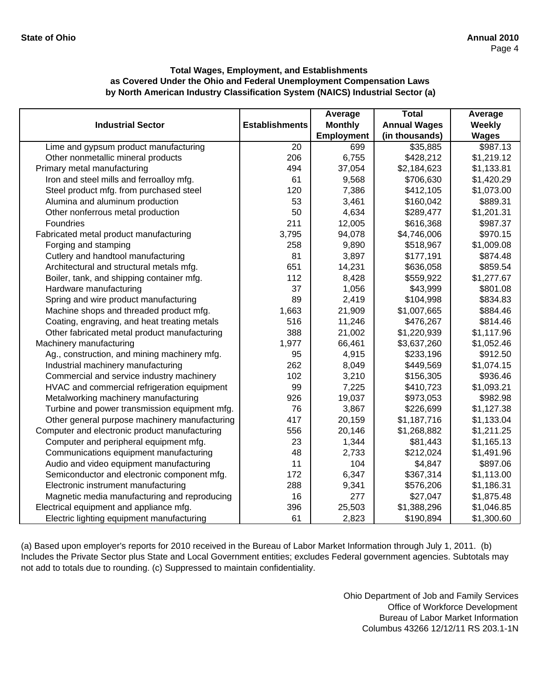|                                               |                       | Average           | <b>Total</b>        | Average      |
|-----------------------------------------------|-----------------------|-------------------|---------------------|--------------|
| <b>Industrial Sector</b>                      | <b>Establishments</b> | <b>Monthly</b>    | <b>Annual Wages</b> | Weekly       |
|                                               |                       | <b>Employment</b> | (in thousands)      | <b>Wages</b> |
| Lime and gypsum product manufacturing         | 20                    | 699               | \$35,885            | \$987.13     |
| Other nonmetallic mineral products            | 206                   | 6,755             | \$428,212           | \$1,219.12   |
| Primary metal manufacturing                   | 494                   | 37,054            | \$2,184,623         | \$1,133.81   |
| Iron and steel mills and ferroalloy mfg.      | 61                    | 9,568             | \$706,630           | \$1,420.29   |
| Steel product mfg. from purchased steel       | 120                   | 7,386             | \$412,105           | \$1,073.00   |
| Alumina and aluminum production               | 53                    | 3,461             | \$160,042           | \$889.31     |
| Other nonferrous metal production             | 50                    | 4,634             | \$289,477           | \$1,201.31   |
| Foundries                                     | 211                   | 12,005            | \$616,368           | \$987.37     |
| Fabricated metal product manufacturing        | 3,795                 | 94,078            | \$4,746,006         | \$970.15     |
| Forging and stamping                          | 258                   | 9,890             | \$518,967           | \$1,009.08   |
| Cutlery and handtool manufacturing            | 81                    | 3,897             | \$177,191           | \$874.48     |
| Architectural and structural metals mfg.      | 651                   | 14,231            | \$636,058           | \$859.54     |
| Boiler, tank, and shipping container mfg.     | 112                   | 8,428             | \$559,922           | \$1,277.67   |
| Hardware manufacturing                        | 37                    | 1,056             | \$43,999            | \$801.08     |
| Spring and wire product manufacturing         | 89                    | 2,419             | \$104,998           | \$834.83     |
| Machine shops and threaded product mfg.       | 1,663                 | 21,909            | \$1,007,665         | \$884.46     |
| Coating, engraving, and heat treating metals  | 516                   | 11,246            | \$476,267           | \$814.46     |
| Other fabricated metal product manufacturing  | 388                   | 21,002            | \$1,220,939         | \$1,117.96   |
| Machinery manufacturing                       | 1,977                 | 66,461            | \$3,637,260         | \$1,052.46   |
| Ag., construction, and mining machinery mfg.  | 95                    | 4,915             | \$233,196           | \$912.50     |
| Industrial machinery manufacturing            | 262                   | 8,049             | \$449,569           | \$1,074.15   |
| Commercial and service industry machinery     | 102                   | 3,210             | \$156,305           | \$936.46     |
| HVAC and commercial refrigeration equipment   | 99                    | 7,225             | \$410,723           | \$1,093.21   |
| Metalworking machinery manufacturing          | 926                   | 19,037            | \$973,053           | \$982.98     |
| Turbine and power transmission equipment mfg. | 76                    | 3,867             | \$226,699           | \$1,127.38   |
| Other general purpose machinery manufacturing | 417                   | 20,159            | \$1,187,716         | \$1,133.04   |
| Computer and electronic product manufacturing | 556                   | 20,146            | \$1,268,882         | \$1,211.25   |
| Computer and peripheral equipment mfg.        | 23                    | 1,344             | \$81,443            | \$1,165.13   |
| Communications equipment manufacturing        | 48                    | 2,733             | \$212,024           | \$1,491.96   |
| Audio and video equipment manufacturing       | 11                    | 104               | \$4,847             | \$897.06     |
| Semiconductor and electronic component mfg.   | 172                   | 6,347             | \$367,314           | \$1,113.00   |
| Electronic instrument manufacturing           | 288                   | 9,341             | \$576,206           | \$1,186.31   |
| Magnetic media manufacturing and reproducing  | 16                    | 277               | \$27,047            | \$1,875.48   |
| Electrical equipment and appliance mfg.       | 396                   | 25,503            | \$1,388,296         | \$1,046.85   |
| Electric lighting equipment manufacturing     | 61                    | 2,823             | \$190,894           | \$1,300.60   |

(a) Based upon employer's reports for 2010 received in the Bureau of Labor Market Information through July 1, 2011. (b) Includes the Private Sector plus State and Local Government entities; excludes Federal government agencies. Subtotals may not add to totals due to rounding. (c) Suppressed to maintain confidentiality.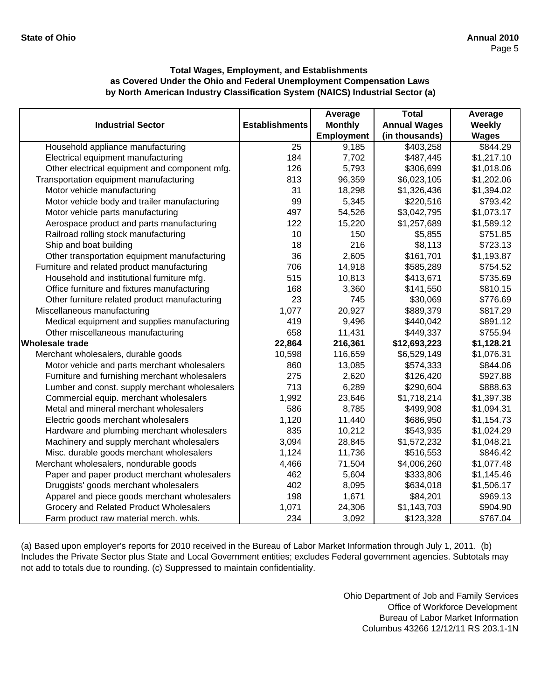|                                               |                       | Average           | <b>Total</b>        | Average      |
|-----------------------------------------------|-----------------------|-------------------|---------------------|--------------|
| <b>Industrial Sector</b>                      | <b>Establishments</b> | <b>Monthly</b>    | <b>Annual Wages</b> | Weekly       |
|                                               |                       | <b>Employment</b> | (in thousands)      | <b>Wages</b> |
| Household appliance manufacturing             | 25                    | 9,185             | \$403,258           | \$844.29     |
| Electrical equipment manufacturing            | 184                   | 7,702             | \$487,445           | \$1,217.10   |
| Other electrical equipment and component mfg. | 126                   | 5,793             | \$306,699           | \$1,018.06   |
| Transportation equipment manufacturing        | 813                   | 96,359            | \$6,023,105         | \$1,202.06   |
| Motor vehicle manufacturing                   | 31                    | 18,298            | \$1,326,436         | \$1,394.02   |
| Motor vehicle body and trailer manufacturing  | 99                    | 5,345             | \$220,516           | \$793.42     |
| Motor vehicle parts manufacturing             | 497                   | 54,526            | \$3,042,795         | \$1,073.17   |
| Aerospace product and parts manufacturing     | 122                   | 15,220            | \$1,257,689         | \$1,589.12   |
| Railroad rolling stock manufacturing          | 10                    | 150               | \$5,855             | \$751.85     |
| Ship and boat building                        | 18                    | 216               | \$8,113             | \$723.13     |
| Other transportation equipment manufacturing  | 36                    | 2,605             | \$161,701           | \$1,193.87   |
| Furniture and related product manufacturing   | 706                   | 14,918            | \$585,289           | \$754.52     |
| Household and institutional furniture mfg.    | 515                   | 10,813            | \$413,671           | \$735.69     |
| Office furniture and fixtures manufacturing   | 168                   | 3,360             | \$141,550           | \$810.15     |
| Other furniture related product manufacturing | 23                    | 745               | \$30,069            | \$776.69     |
| Miscellaneous manufacturing                   | 1,077                 | 20,927            | \$889,379           | \$817.29     |
| Medical equipment and supplies manufacturing  | 419                   | 9,496             | \$440,042           | \$891.12     |
| Other miscellaneous manufacturing             | 658                   | 11,431            | \$449,337           | \$755.94     |
| <b>Wholesale trade</b>                        | 22,864                | 216,361           | \$12,693,223        | \$1,128.21   |
| Merchant wholesalers, durable goods           | 10,598                | 116,659           | \$6,529,149         | \$1,076.31   |
| Motor vehicle and parts merchant wholesalers  | 860                   | 13,085            | \$574,333           | \$844.06     |
| Furniture and furnishing merchant wholesalers | 275                   | 2,620             | \$126,420           | \$927.88     |
| Lumber and const. supply merchant wholesalers | 713                   | 6,289             | \$290,604           | \$888.63     |
| Commercial equip. merchant wholesalers        | 1,992                 | 23,646            | \$1,718,214         | \$1,397.38   |
| Metal and mineral merchant wholesalers        | 586                   | 8,785             | \$499,908           | \$1,094.31   |
| Electric goods merchant wholesalers           | 1,120                 | 11,440            | \$686,950           | \$1,154.73   |
| Hardware and plumbing merchant wholesalers    | 835                   | 10,212            | \$543,935           | \$1,024.29   |
| Machinery and supply merchant wholesalers     | 3,094                 | 28,845            | \$1,572,232         | \$1,048.21   |
| Misc. durable goods merchant wholesalers      | 1,124                 | 11,736            | \$516,553           | \$846.42     |
| Merchant wholesalers, nondurable goods        | 4,466                 | 71,504            | \$4,006,260         | \$1,077.48   |
| Paper and paper product merchant wholesalers  | 462                   | 5,604             | \$333,806           | \$1,145.46   |
| Druggists' goods merchant wholesalers         | 402                   | 8,095             | \$634,018           | \$1,506.17   |
| Apparel and piece goods merchant wholesalers  | 198                   | 1,671             | \$84,201            | \$969.13     |
| Grocery and Related Product Wholesalers       | 1,071                 | 24,306            | \$1,143,703         | \$904.90     |
| Farm product raw material merch. whls.        | 234                   | 3,092             | \$123,328           | \$767.04     |

(a) Based upon employer's reports for 2010 received in the Bureau of Labor Market Information through July 1, 2011. (b) Includes the Private Sector plus State and Local Government entities; excludes Federal government agencies. Subtotals may not add to totals due to rounding. (c) Suppressed to maintain confidentiality.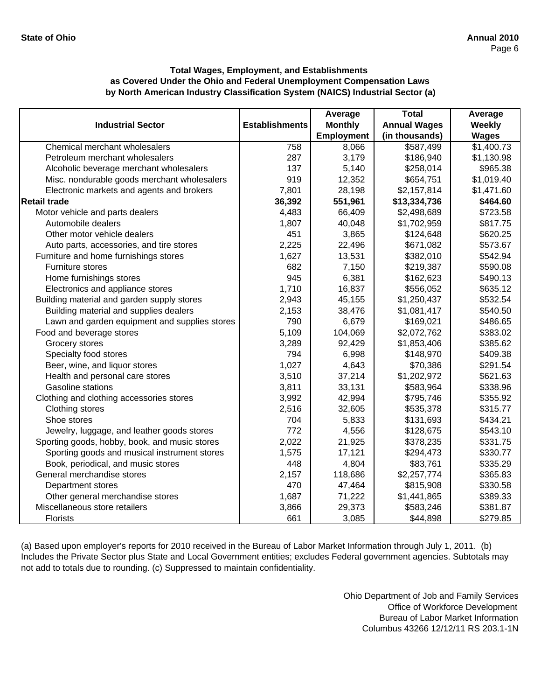|                                               |                       | Average           | <b>Total</b>        | Average       |
|-----------------------------------------------|-----------------------|-------------------|---------------------|---------------|
| <b>Industrial Sector</b>                      | <b>Establishments</b> | <b>Monthly</b>    | <b>Annual Wages</b> | <b>Weekly</b> |
|                                               |                       | <b>Employment</b> | (in thousands)      | <b>Wages</b>  |
| Chemical merchant wholesalers                 | 758                   | 8,066             | \$587,499           | \$1,400.73    |
| Petroleum merchant wholesalers                | 287                   | 3,179             | \$186,940           | \$1,130.98    |
| Alcoholic beverage merchant wholesalers       | 137                   | 5,140             | \$258,014           | \$965.38      |
| Misc. nondurable goods merchant wholesalers   | 919                   | 12,352            | \$654,751           | \$1,019.40    |
| Electronic markets and agents and brokers     | 7,801                 | 28,198            | \$2,157,814         | \$1,471.60    |
| <b>Retail trade</b>                           | 36,392                | 551,961           | \$13,334,736        | \$464.60      |
| Motor vehicle and parts dealers               | 4,483                 | 66,409            | \$2,498,689         | \$723.58      |
| Automobile dealers                            | 1,807                 | 40,048            | \$1,702,959         | \$817.75      |
| Other motor vehicle dealers                   | 451                   | 3,865             | \$124,648           | \$620.25      |
| Auto parts, accessories, and tire stores      | 2,225                 | 22,496            | \$671,082           | \$573.67      |
| Furniture and home furnishings stores         | 1,627                 | 13,531            | \$382,010           | \$542.94      |
| <b>Furniture stores</b>                       | 682                   | 7,150             | \$219,387           | \$590.08      |
| Home furnishings stores                       | 945                   | 6,381             | \$162,623           | \$490.13      |
| Electronics and appliance stores              | 1,710                 | 16,837            | \$556,052           | \$635.12      |
| Building material and garden supply stores    | 2,943                 | 45,155            | \$1,250,437         | \$532.54      |
| Building material and supplies dealers        | 2,153                 | 38,476            | \$1,081,417         | \$540.50      |
| Lawn and garden equipment and supplies stores | 790                   | 6,679             | \$169,021           | \$486.65      |
| Food and beverage stores                      | 5,109                 | 104,069           | \$2,072,762         | \$383.02      |
| Grocery stores                                | 3,289                 | 92,429            | \$1,853,406         | \$385.62      |
| Specialty food stores                         | 794                   | 6,998             | \$148,970           | \$409.38      |
| Beer, wine, and liquor stores                 | 1,027                 | 4,643             | \$70,386            | \$291.54      |
| Health and personal care stores               | 3,510                 | 37,214            | \$1,202,972         | \$621.63      |
| Gasoline stations                             | 3,811                 | 33,131            | \$583,964           | \$338.96      |
| Clothing and clothing accessories stores      | 3,992                 | 42,994            | \$795,746           | \$355.92      |
| Clothing stores                               | 2,516                 | 32,605            | \$535,378           | \$315.77      |
| Shoe stores                                   | 704                   | 5,833             | \$131,693           | \$434.21      |
| Jewelry, luggage, and leather goods stores    | 772                   | 4,556             | \$128,675           | \$543.10      |
| Sporting goods, hobby, book, and music stores | 2,022                 | 21,925            | \$378,235           | \$331.75      |
| Sporting goods and musical instrument stores  | 1,575                 | 17,121            | \$294,473           | \$330.77      |
| Book, periodical, and music stores            | 448                   | 4,804             | \$83,761            | \$335.29      |
| General merchandise stores                    | 2,157                 | 118,686           | \$2,257,774         | \$365.83      |
| Department stores                             | 470                   | 47,464            | \$815,908           | \$330.58      |
| Other general merchandise stores              | 1,687                 | 71,222            | \$1,441,865         | \$389.33      |
| Miscellaneous store retailers                 | 3,866                 | 29,373            | \$583,246           | \$381.87      |
| Florists                                      | 661                   | 3,085             | \$44,898            | \$279.85      |

(a) Based upon employer's reports for 2010 received in the Bureau of Labor Market Information through July 1, 2011. (b) Includes the Private Sector plus State and Local Government entities; excludes Federal government agencies. Subtotals may not add to totals due to rounding. (c) Suppressed to maintain confidentiality.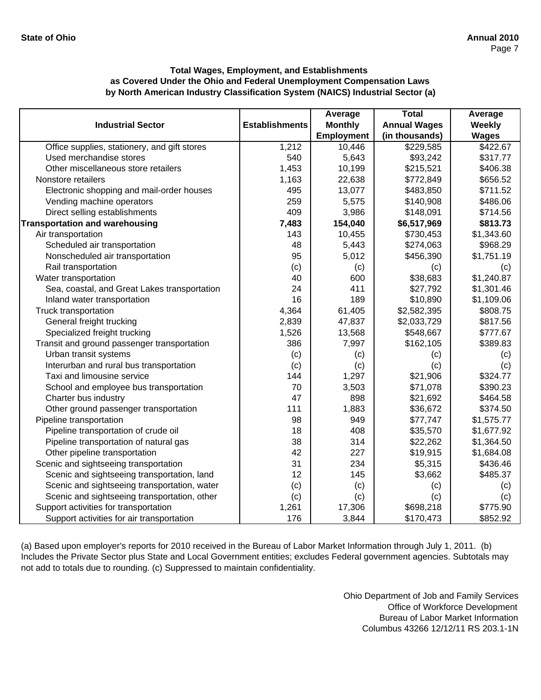|                                              |                       | Average           | <b>Total</b>        | Average      |
|----------------------------------------------|-----------------------|-------------------|---------------------|--------------|
| <b>Industrial Sector</b>                     | <b>Establishments</b> | <b>Monthly</b>    | <b>Annual Wages</b> | Weekly       |
|                                              |                       | <b>Employment</b> | (in thousands)      | <b>Wages</b> |
| Office supplies, stationery, and gift stores | 1,212                 | 10,446            | \$229,585           | \$422.67     |
| Used merchandise stores                      | 540                   | 5,643             | \$93,242            | \$317.77     |
| Other miscellaneous store retailers          | 1,453                 | 10,199            | \$215,521           | \$406.38     |
| Nonstore retailers                           | 1,163                 | 22,638            | \$772,849           | \$656.52     |
| Electronic shopping and mail-order houses    | 495                   | 13,077            | \$483,850           | \$711.52     |
| Vending machine operators                    | 259                   | 5,575             | \$140,908           | \$486.06     |
| Direct selling establishments                | 409                   | 3,986             | \$148,091           | \$714.56     |
| <b>Transportation and warehousing</b>        | 7,483                 | 154,040           | \$6,517,969         | \$813.73     |
| Air transportation                           | 143                   | 10,455            | \$730,453           | \$1,343.60   |
| Scheduled air transportation                 | 48                    | 5,443             | \$274,063           | \$968.29     |
| Nonscheduled air transportation              | 95                    | 5,012             | \$456,390           | \$1,751.19   |
| Rail transportation                          | (c)                   | (c)               | (c)                 | (c)          |
| Water transportation                         | 40                    | 600               | \$38,683            | \$1,240.87   |
| Sea, coastal, and Great Lakes transportation | 24                    | 411               | \$27,792            | \$1,301.46   |
| Inland water transportation                  | 16                    | 189               | \$10,890            | \$1,109.06   |
| Truck transportation                         | 4,364                 | 61,405            | \$2,582,395         | \$808.75     |
| General freight trucking                     | 2,839                 | 47,837            | \$2,033,729         | \$817.56     |
| Specialized freight trucking                 | 1,526                 | 13,568            | \$548,667           | \$777.67     |
| Transit and ground passenger transportation  | 386                   | 7,997             | \$162,105           | \$389.83     |
| Urban transit systems                        | (c)                   | (c)               | (c)                 | (c)          |
| Interurban and rural bus transportation      | (c)                   | (c)               | (c)                 | (c)          |
| Taxi and limousine service                   | 144                   | 1,297             | \$21,906            | \$324.77     |
| School and employee bus transportation       | 70                    | 3,503             | \$71,078            | \$390.23     |
| Charter bus industry                         | 47                    | 898               | \$21,692            | \$464.58     |
| Other ground passenger transportation        | 111                   | 1,883             | \$36,672            | \$374.50     |
| Pipeline transportation                      | 98                    | 949               | \$77,747            | \$1,575.77   |
| Pipeline transportation of crude oil         | 18                    | 408               | \$35,570            | \$1,677.92   |
| Pipeline transportation of natural gas       | 38                    | 314               | \$22,262            | \$1,364.50   |
| Other pipeline transportation                | 42                    | 227               | \$19,915            | \$1,684.08   |
| Scenic and sightseeing transportation        | 31                    | 234               | \$5,315             | \$436.46     |
| Scenic and sightseeing transportation, land  | 12                    | 145               | \$3,662             | \$485.37     |
| Scenic and sightseeing transportation, water | (c)                   | (c)               | (c)                 | (c)          |
| Scenic and sightseeing transportation, other | (c)                   | (c)               | (c)                 | (c)          |
| Support activities for transportation        | 1,261                 | 17,306            | \$698,218           | \$775.90     |
| Support activities for air transportation    | 176                   | 3,844             | \$170,473           | \$852.92     |

(a) Based upon employer's reports for 2010 received in the Bureau of Labor Market Information through July 1, 2011. (b) Includes the Private Sector plus State and Local Government entities; excludes Federal government agencies. Subtotals may not add to totals due to rounding. (c) Suppressed to maintain confidentiality.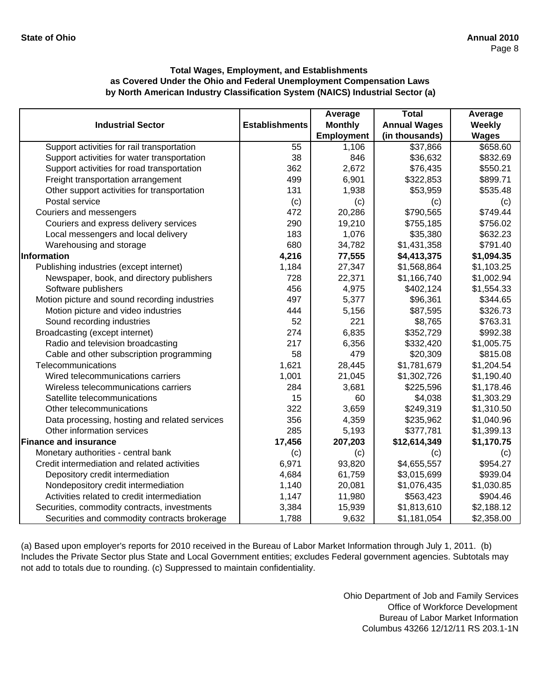|                                               |                       | Average           | <b>Total</b>        | Average      |
|-----------------------------------------------|-----------------------|-------------------|---------------------|--------------|
| <b>Industrial Sector</b>                      | <b>Establishments</b> | <b>Monthly</b>    | <b>Annual Wages</b> | Weekly       |
|                                               |                       | <b>Employment</b> | (in thousands)      | <b>Wages</b> |
| Support activities for rail transportation    | 55                    | 1,106             | \$37,866            | \$658.60     |
| Support activities for water transportation   | 38                    | 846               | \$36,632            | \$832.69     |
| Support activities for road transportation    | 362                   | 2,672             | \$76,435            | \$550.21     |
| Freight transportation arrangement            | 499                   | 6,901             | \$322,853           | \$899.71     |
| Other support activities for transportation   | 131                   | 1,938             | \$53,959            | \$535.48     |
| Postal service                                | (c)                   | (c)               | (c)                 | (c)          |
| Couriers and messengers                       | 472                   | 20,286            | \$790,565           | \$749.44     |
| Couriers and express delivery services        | 290                   | 19,210            | \$755,185           | \$756.02     |
| Local messengers and local delivery           | 183                   | 1,076             | \$35,380            | \$632.23     |
| Warehousing and storage                       | 680                   | 34,782            | \$1,431,358         | \$791.40     |
| Information                                   | 4,216                 | 77,555            | \$4,413,375         | \$1,094.35   |
| Publishing industries (except internet)       | 1,184                 | 27,347            | \$1,568,864         | \$1,103.25   |
| Newspaper, book, and directory publishers     | 728                   | 22,371            | \$1,166,740         | \$1,002.94   |
| Software publishers                           | 456                   | 4,975             | \$402,124           | \$1,554.33   |
| Motion picture and sound recording industries | 497                   | 5,377             | \$96,361            | \$344.65     |
| Motion picture and video industries           | 444                   | 5,156             | \$87,595            | \$326.73     |
| Sound recording industries                    | 52                    | 221               | \$8,765             | \$763.31     |
| Broadcasting (except internet)                | 274                   | 6,835             | \$352,729           | \$992.38     |
| Radio and television broadcasting             | 217                   | 6,356             | \$332,420           | \$1,005.75   |
| Cable and other subscription programming      | 58                    | 479               | \$20,309            | \$815.08     |
| Telecommunications                            | 1,621                 | 28,445            | \$1,781,679         | \$1,204.54   |
| Wired telecommunications carriers             | 1,001                 | 21,045            | \$1,302,726         | \$1,190.40   |
| Wireless telecommunications carriers          | 284                   | 3,681             | \$225,596           | \$1,178.46   |
| Satellite telecommunications                  | 15                    | 60                | \$4,038             | \$1,303.29   |
| Other telecommunications                      | 322                   | 3,659             | \$249,319           | \$1,310.50   |
| Data processing, hosting and related services | 356                   | 4,359             | \$235,962           | \$1,040.96   |
| Other information services                    | 285                   | 5,193             | \$377,781           | \$1,399.13   |
| <b>Finance and insurance</b>                  | 17,456                | 207,203           | \$12,614,349        | \$1,170.75   |
| Monetary authorities - central bank           | (c)                   | (c)               | (c)                 | (c)          |
| Credit intermediation and related activities  | 6,971                 | 93,820            | \$4,655,557         | \$954.27     |
| Depository credit intermediation              | 4,684                 | 61,759            | \$3,015,699         | \$939.04     |
| Nondepository credit intermediation           | 1,140                 | 20,081            | \$1,076,435         | \$1,030.85   |
| Activities related to credit intermediation   | 1,147                 | 11,980            | \$563,423           | \$904.46     |
| Securities, commodity contracts, investments  | 3,384                 | 15,939            | \$1,813,610         | \$2,188.12   |
| Securities and commodity contracts brokerage  | 1,788                 | 9,632             | \$1,181,054         | \$2,358.00   |

(a) Based upon employer's reports for 2010 received in the Bureau of Labor Market Information through July 1, 2011. (b) Includes the Private Sector plus State and Local Government entities; excludes Federal government agencies. Subtotals may not add to totals due to rounding. (c) Suppressed to maintain confidentiality.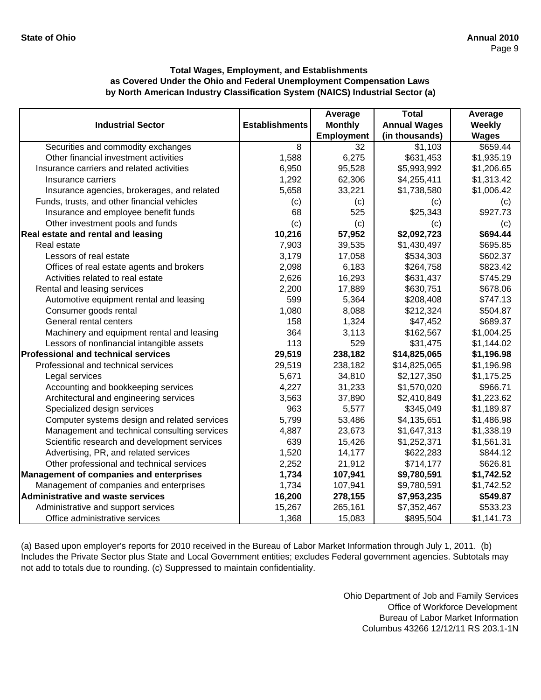|                                                |                       | Average           | <b>Total</b>        | Average      |
|------------------------------------------------|-----------------------|-------------------|---------------------|--------------|
| <b>Industrial Sector</b>                       | <b>Establishments</b> | <b>Monthly</b>    | <b>Annual Wages</b> | Weekly       |
|                                                |                       | <b>Employment</b> | (in thousands)      | <b>Wages</b> |
| Securities and commodity exchanges             | 8                     | 32                | \$1,103             | \$659.44     |
| Other financial investment activities          | 1,588                 | 6,275             | \$631,453           | \$1,935.19   |
| Insurance carriers and related activities      | 6,950                 | 95,528            | \$5,993,992         | \$1,206.65   |
| Insurance carriers                             | 1,292                 | 62,306            | \$4,255,411         | \$1,313.42   |
| Insurance agencies, brokerages, and related    | 5,658                 | 33,221            | \$1,738,580         | \$1,006.42   |
| Funds, trusts, and other financial vehicles    | (c)                   | (c)               | (c)                 | (c)          |
| Insurance and employee benefit funds           | 68                    | 525               | \$25,343            | \$927.73     |
| Other investment pools and funds               | (c)                   | (c)               | (c)                 | (c)          |
| Real estate and rental and leasing             | 10,216                | 57,952            | \$2,092,723         | \$694.44     |
| Real estate                                    | 7,903                 | 39,535            | \$1,430,497         | \$695.85     |
| Lessors of real estate                         | 3,179                 | 17,058            | \$534,303           | \$602.37     |
| Offices of real estate agents and brokers      | 2,098                 | 6,183             | \$264,758           | \$823.42     |
| Activities related to real estate              | 2,626                 | 16,293            | \$631,437           | \$745.29     |
| Rental and leasing services                    | 2,200                 | 17,889            | \$630,751           | \$678.06     |
| Automotive equipment rental and leasing        | 599                   | 5,364             | \$208,408           | \$747.13     |
| Consumer goods rental                          | 1,080                 | 8,088             | \$212,324           | \$504.87     |
| General rental centers                         | 158                   | 1,324             | \$47,452            | \$689.37     |
| Machinery and equipment rental and leasing     | 364                   | 3,113             | \$162,567           | \$1,004.25   |
| Lessors of nonfinancial intangible assets      | 113                   | 529               | \$31,475            | \$1,144.02   |
| <b>Professional and technical services</b>     | 29,519                | 238,182           | \$14,825,065        | \$1,196.98   |
| Professional and technical services            | 29,519                | 238,182           | \$14,825,065        | \$1,196.98   |
| Legal services                                 | 5,671                 | 34,810            | \$2,127,350         | \$1,175.25   |
| Accounting and bookkeeping services            | 4,227                 | 31,233            | \$1,570,020         | \$966.71     |
| Architectural and engineering services         | 3,563                 | 37,890            | \$2,410,849         | \$1,223.62   |
| Specialized design services                    | 963                   | 5,577             | \$345,049           | \$1,189.87   |
| Computer systems design and related services   | 5,799                 | 53,486            | \$4,135,651         | \$1,486.98   |
| Management and technical consulting services   | 4,887                 | 23,673            | \$1,647,313         | \$1,338.19   |
| Scientific research and development services   | 639                   | 15,426            | \$1,252,371         | \$1,561.31   |
| Advertising, PR, and related services          | 1,520                 | 14,177            | \$622,283           | \$844.12     |
| Other professional and technical services      | 2,252                 | 21,912            | \$714,177           | \$626.81     |
| <b>Management of companies and enterprises</b> | 1,734                 | 107,941           | \$9,780,591         | \$1,742.52   |
| Management of companies and enterprises        | 1,734                 | 107,941           | \$9,780,591         | \$1,742.52   |
| <b>Administrative and waste services</b>       | 16,200                | 278,155           | \$7,953,235         | \$549.87     |
| Administrative and support services            | 15,267                | 265,161           | \$7,352,467         | \$533.23     |
| Office administrative services                 | 1,368                 | 15,083            | \$895,504           | \$1,141.73   |

(a) Based upon employer's reports for 2010 received in the Bureau of Labor Market Information through July 1, 2011. (b) Includes the Private Sector plus State and Local Government entities; excludes Federal government agencies. Subtotals may not add to totals due to rounding. (c) Suppressed to maintain confidentiality.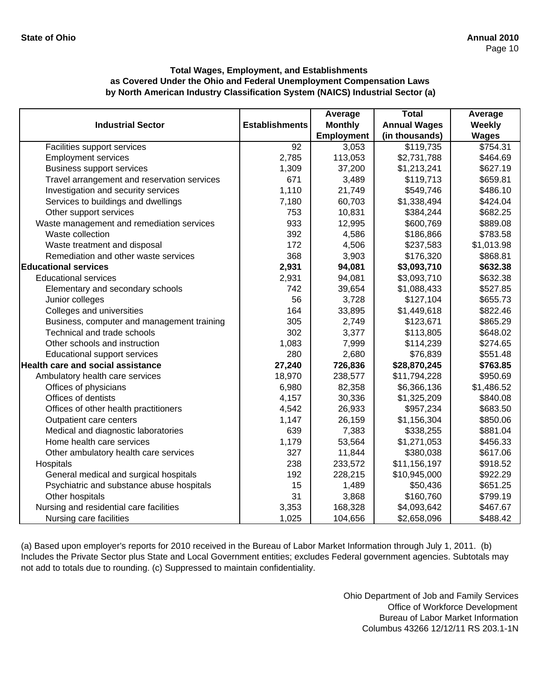|                                             |                       | Average           | <b>Total</b>        | Average      |
|---------------------------------------------|-----------------------|-------------------|---------------------|--------------|
| <b>Industrial Sector</b>                    | <b>Establishments</b> | <b>Monthly</b>    | <b>Annual Wages</b> | Weekly       |
|                                             |                       | <b>Employment</b> | (in thousands)      | <b>Wages</b> |
| Facilities support services                 | 92                    | 3,053             | \$119,735           | \$754.31     |
| <b>Employment services</b>                  | 2,785                 | 113,053           | \$2,731,788         | \$464.69     |
| <b>Business support services</b>            | 1,309                 | 37,200            | \$1,213,241         | \$627.19     |
| Travel arrangement and reservation services | 671                   | 3,489             | \$119,713           | \$659.81     |
| Investigation and security services         | 1,110                 | 21,749            | \$549,746           | \$486.10     |
| Services to buildings and dwellings         | 7,180                 | 60,703            | \$1,338,494         | \$424.04     |
| Other support services                      | 753                   | 10,831            | \$384,244           | \$682.25     |
| Waste management and remediation services   | 933                   | 12,995            | \$600,769           | \$889.08     |
| Waste collection                            | 392                   | 4,586             | \$186,866           | \$783.58     |
| Waste treatment and disposal                | 172                   | 4,506             | \$237,583           | \$1,013.98   |
| Remediation and other waste services        | 368                   | 3,903             | \$176,320           | \$868.81     |
| <b>Educational services</b>                 | 2,931                 | 94,081            | \$3,093,710         | \$632.38     |
| <b>Educational services</b>                 | 2,931                 | 94,081            | \$3,093,710         | \$632.38     |
| Elementary and secondary schools            | 742                   | 39,654            | \$1,088,433         | \$527.85     |
| Junior colleges                             | 56                    | 3,728             | \$127,104           | \$655.73     |
| Colleges and universities                   | 164                   | 33,895            | \$1,449,618         | \$822.46     |
| Business, computer and management training  | 305                   | 2,749             | \$123,671           | \$865.29     |
| Technical and trade schools                 | 302                   | 3,377             | \$113,805           | \$648.02     |
| Other schools and instruction               | 1,083                 | 7,999             | \$114,239           | \$274.65     |
| <b>Educational support services</b>         | 280                   | 2,680             | \$76,839            | \$551.48     |
| <b>Health care and social assistance</b>    | 27,240                | 726,836           | \$28,870,245        | \$763.85     |
| Ambulatory health care services             | 18,970                | 238,577           | \$11,794,228        | \$950.69     |
| Offices of physicians                       | 6,980                 | 82,358            | \$6,366,136         | \$1,486.52   |
| Offices of dentists                         | 4,157                 | 30,336            | \$1,325,209         | \$840.08     |
| Offices of other health practitioners       | 4,542                 | 26,933            | \$957,234           | \$683.50     |
| Outpatient care centers                     | 1,147                 | 26,159            | \$1,156,304         | \$850.06     |
| Medical and diagnostic laboratories         | 639                   | 7,383             | \$338,255           | \$881.04     |
| Home health care services                   | 1,179                 | 53,564            | \$1,271,053         | \$456.33     |
| Other ambulatory health care services       | 327                   | 11,844            | \$380,038           | \$617.06     |
| Hospitals                                   | 238                   | 233,572           | \$11,156,197        | \$918.52     |
| General medical and surgical hospitals      | 192                   | 228,215           | \$10,945,000        | \$922.29     |
| Psychiatric and substance abuse hospitals   | 15                    | 1,489             | \$50,436            | \$651.25     |
| Other hospitals                             | 31                    | 3,868             | \$160,760           | \$799.19     |
| Nursing and residential care facilities     | 3,353                 | 168,328           | \$4,093,642         | \$467.67     |
| Nursing care facilities                     | 1,025                 | 104,656           | \$2,658,096         | \$488.42     |

(a) Based upon employer's reports for 2010 received in the Bureau of Labor Market Information through July 1, 2011. (b) Includes the Private Sector plus State and Local Government entities; excludes Federal government agencies. Subtotals may not add to totals due to rounding. (c) Suppressed to maintain confidentiality.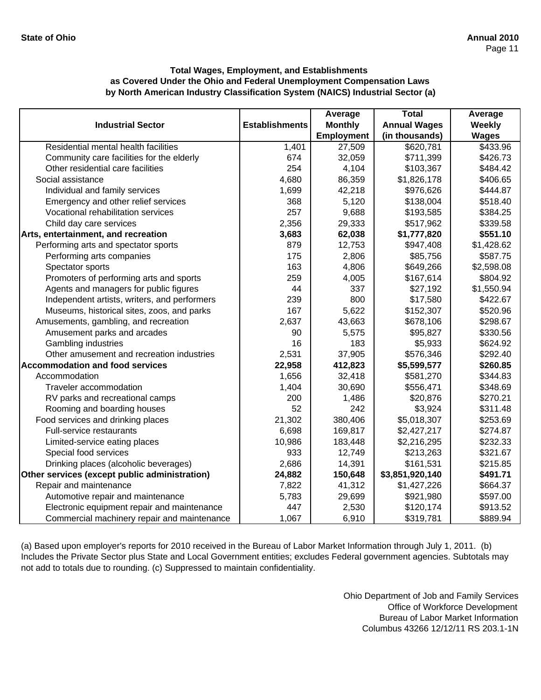|                                               |                       | Average        | <b>Total</b>        | Average      |
|-----------------------------------------------|-----------------------|----------------|---------------------|--------------|
| <b>Industrial Sector</b>                      | <b>Establishments</b> | <b>Monthly</b> | <b>Annual Wages</b> | Weekly       |
|                                               |                       | Employment     | (in thousands)      | <b>Wages</b> |
| Residential mental health facilities          | 1,401                 | 27,509         | \$620,781           | \$433.96     |
| Community care facilities for the elderly     | 674                   | 32,059         | \$711,399           | \$426.73     |
| Other residential care facilities             | 254                   | 4,104          | \$103,367           | \$484.42     |
| Social assistance                             | 4,680                 | 86,359         | \$1,826,178         | \$406.65     |
| Individual and family services                | 1,699                 | 42,218         | \$976,626           | \$444.87     |
| Emergency and other relief services           | 368                   | 5,120          | \$138,004           | \$518.40     |
| Vocational rehabilitation services            | 257                   | 9,688          | \$193,585           | \$384.25     |
| Child day care services                       | 2,356                 | 29,333         | \$517,962           | \$339.58     |
| Arts, entertainment, and recreation           | 3,683                 | 62,038         | \$1,777,820         | \$551.10     |
| Performing arts and spectator sports          | 879                   | 12,753         | \$947,408           | \$1,428.62   |
| Performing arts companies                     | 175                   | 2,806          | \$85,756            | \$587.75     |
| Spectator sports                              | 163                   | 4,806          | \$649,266           | \$2,598.08   |
| Promoters of performing arts and sports       | 259                   | 4,005          | \$167,614           | \$804.92     |
| Agents and managers for public figures        | 44                    | 337            | \$27,192            | \$1,550.94   |
| Independent artists, writers, and performers  | 239                   | 800            | \$17,580            | \$422.67     |
| Museums, historical sites, zoos, and parks    | 167                   | 5,622          | \$152,307           | \$520.96     |
| Amusements, gambling, and recreation          | 2,637                 | 43,663         | \$678,106           | \$298.67     |
| Amusement parks and arcades                   | 90                    | 5,575          | \$95,827            | \$330.56     |
| Gambling industries                           | 16                    | 183            | \$5,933             | \$624.92     |
| Other amusement and recreation industries     | 2,531                 | 37,905         | \$576,346           | \$292.40     |
| <b>Accommodation and food services</b>        | 22,958                | 412,823        | \$5,599,577         | \$260.85     |
| Accommodation                                 | 1,656                 | 32,418         | \$581,270           | \$344.83     |
| Traveler accommodation                        | 1,404                 | 30,690         | \$556,471           | \$348.69     |
| RV parks and recreational camps               | 200                   | 1,486          | \$20,876            | \$270.21     |
| Rooming and boarding houses                   | 52                    | 242            | \$3,924             | \$311.48     |
| Food services and drinking places             | 21,302                | 380,406        | \$5,018,307         | \$253.69     |
| Full-service restaurants                      | 6,698                 | 169,817        | \$2,427,217         | \$274.87     |
| Limited-service eating places                 | 10,986                | 183,448        | \$2,216,295         | \$232.33     |
| Special food services                         | 933                   | 12,749         | \$213,263           | \$321.67     |
| Drinking places (alcoholic beverages)         | 2,686                 | 14,391         | \$161,531           | \$215.85     |
| Other services (except public administration) | 24,882                | 150,648        | \$3,851,920,140     | \$491.71     |
| Repair and maintenance                        | 7,822                 | 41,312         | \$1,427,226         | \$664.37     |
| Automotive repair and maintenance             | 5,783                 | 29,699         | \$921,980           | \$597.00     |
| Electronic equipment repair and maintenance   | 447                   | 2,530          | \$120,174           | \$913.52     |
| Commercial machinery repair and maintenance   | 1,067                 | 6,910          | \$319,781           | \$889.94     |

(a) Based upon employer's reports for 2010 received in the Bureau of Labor Market Information through July 1, 2011. (b) Includes the Private Sector plus State and Local Government entities; excludes Federal government agencies. Subtotals may not add to totals due to rounding. (c) Suppressed to maintain confidentiality.